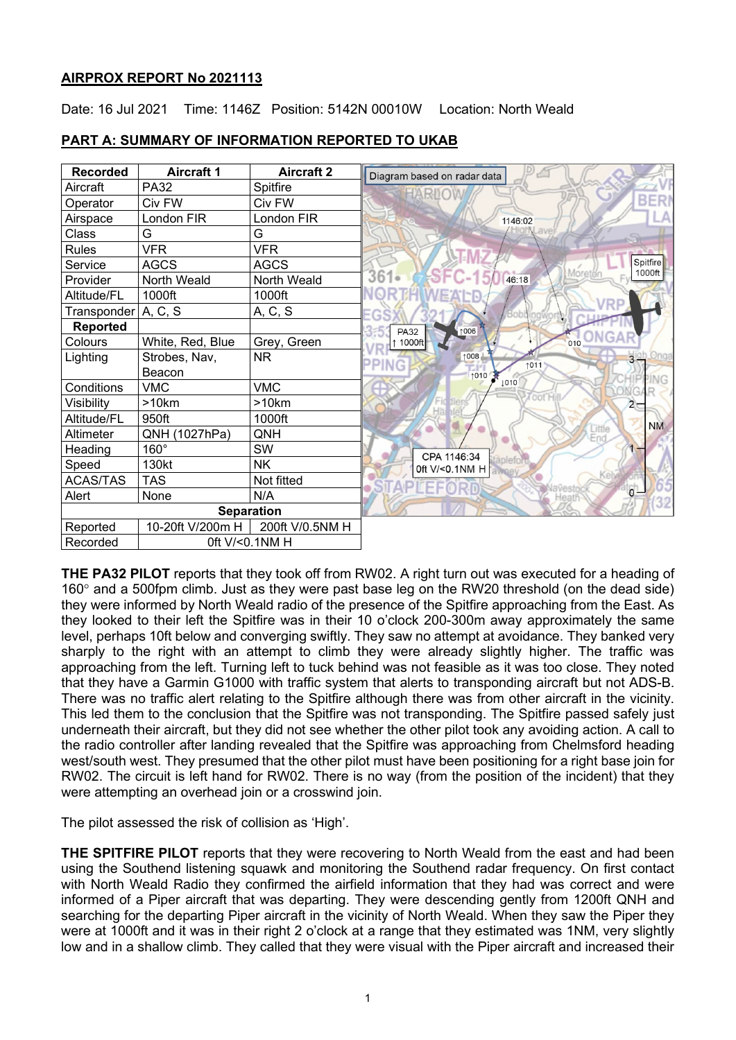## **AIRPROX REPORT No 2021113**

Date: 16 Jul 2021 Time: 1146Z Position: 5142N 00010W Location: North Weald

| <b>Recorded</b>       | <b>Aircraft 1</b> | <b>Aircraft 2</b> | Diagram based on radar data |
|-----------------------|-------------------|-------------------|-----------------------------|
| Aircraft              | <b>PA32</b>       | Spitfire          | ARIO                        |
| Operator              | Civ FW            | Civ FW            | BER                         |
| Airspace              | London FIR        | London FIR        | 1146:02                     |
| Class                 | G                 | G                 |                             |
| <b>Rules</b>          | <b>VFR</b>        | <b>VFR</b>        |                             |
| Service               | <b>AGCS</b>       | <b>AGCS</b>       | Spitfire<br>1000ft          |
| Provider              | North Weald       | North Weald       | Moretón<br>361.<br>46:18    |
| Altitude/FL           | 1000ft            | 1000ft            |                             |
| Transponder   A, C, S |                   | A, C, S           |                             |
| <b>Reported</b>       |                   |                   | 1006<br><b>PA32</b>         |
| Colours               | White, Red, Blue  | Grey, Green       | 1000ft<br>010               |
| Lighting              | Strobes, Nav,     | <b>NR</b>         | 1008<br>1011                |
|                       | Beacon            |                   | 1010<br>PING                |
| Conditions            | <b>VMC</b>        | <b>VMC</b>        | 1010                        |
| Visibility            | >10km             | >10km             | oot H<br>$2-$               |
| Altitude/FL           | 950ft             | 1000ft            | <b>NM</b>                   |
| Altimeter             | QNH (1027hPa)     | QNH               |                             |
| Heading               | 160°              | SW                | CPA 1146:34                 |
| Speed                 | 130kt             | <b>NK</b>         | Oft V/<0.1NM H awney        |
| <b>ACAS/TAS</b>       | <b>TAS</b>        | Not fitted        |                             |
| Alert                 | None              | N/A               | $\overline{0}$<br>Heath     |
| <b>Separation</b>     |                   |                   |                             |
| Reported              | 10-20ft V/200m H  | 200ft V/0.5NM H   |                             |
| Recorded              | 0ft V/<0.1NM H    |                   |                             |

# **PART A: SUMMARY OF INFORMATION REPORTED TO UKAB**

**THE PA32 PILOT** reports that they took off from RW02. A right turn out was executed for a heading of 160° and a 500fpm climb. Just as they were past base leg on the RW20 threshold (on the dead side) they were informed by North Weald radio of the presence of the Spitfire approaching from the East. As they looked to their left the Spitfire was in their 10 o'clock 200-300m away approximately the same level, perhaps 10ft below and converging swiftly. They saw no attempt at avoidance. They banked very sharply to the right with an attempt to climb they were already slightly higher. The traffic was approaching from the left. Turning left to tuck behind was not feasible as it was too close. They noted that they have a Garmin G1000 with traffic system that alerts to transponding aircraft but not ADS-B. There was no traffic alert relating to the Spitfire although there was from other aircraft in the vicinity. This led them to the conclusion that the Spitfire was not transponding. The Spitfire passed safely just underneath their aircraft, but they did not see whether the other pilot took any avoiding action. A call to the radio controller after landing revealed that the Spitfire was approaching from Chelmsford heading west/south west. They presumed that the other pilot must have been positioning for a right base join for RW02. The circuit is left hand for RW02. There is no way (from the position of the incident) that they were attempting an overhead join or a crosswind join.

The pilot assessed the risk of collision as 'High'.

**THE SPITFIRE PILOT** reports that they were recovering to North Weald from the east and had been using the Southend listening squawk and monitoring the Southend radar frequency. On first contact with North Weald Radio they confirmed the airfield information that they had was correct and were informed of a Piper aircraft that was departing. They were descending gently from 1200ft QNH and searching for the departing Piper aircraft in the vicinity of North Weald. When they saw the Piper they were at 1000ft and it was in their right 2 o'clock at a range that they estimated was 1NM, very slightly low and in a shallow climb. They called that they were visual with the Piper aircraft and increased their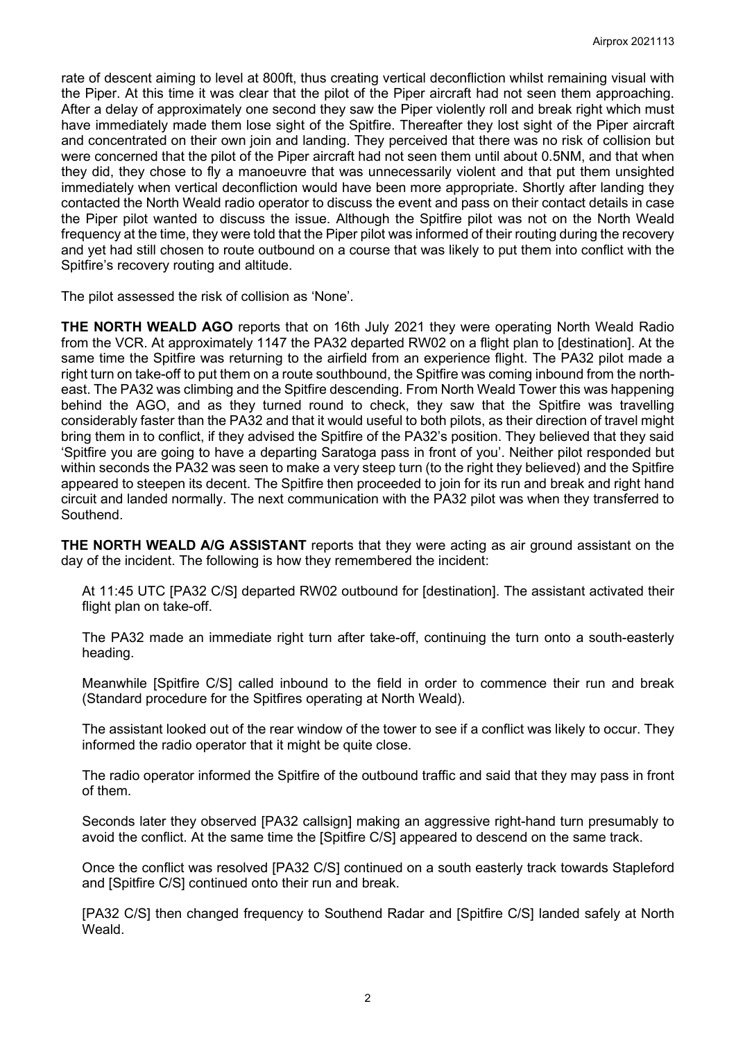rate of descent aiming to level at 800ft, thus creating vertical deconfliction whilst remaining visual with the Piper. At this time it was clear that the pilot of the Piper aircraft had not seen them approaching. After a delay of approximately one second they saw the Piper violently roll and break right which must have immediately made them lose sight of the Spitfire. Thereafter they lost sight of the Piper aircraft and concentrated on their own join and landing. They perceived that there was no risk of collision but were concerned that the pilot of the Piper aircraft had not seen them until about 0.5NM, and that when they did, they chose to fly a manoeuvre that was unnecessarily violent and that put them unsighted immediately when vertical deconfliction would have been more appropriate. Shortly after landing they contacted the North Weald radio operator to discuss the event and pass on their contact details in case the Piper pilot wanted to discuss the issue. Although the Spitfire pilot was not on the North Weald frequency at the time, they were told that the Piper pilot was informed of their routing during the recovery and yet had still chosen to route outbound on a course that was likely to put them into conflict with the Spitfire's recovery routing and altitude.

The pilot assessed the risk of collision as 'None'.

**THE NORTH WEALD AGO** reports that on 16th July 2021 they were operating North Weald Radio from the VCR. At approximately 1147 the PA32 departed RW02 on a flight plan to [destination]. At the same time the Spitfire was returning to the airfield from an experience flight. The PA32 pilot made a right turn on take-off to put them on a route southbound, the Spitfire was coming inbound from the northeast. The PA32 was climbing and the Spitfire descending. From North Weald Tower this was happening behind the AGO, and as they turned round to check, they saw that the Spitfire was travelling considerably faster than the PA32 and that it would useful to both pilots, as their direction of travel might bring them in to conflict, if they advised the Spitfire of the PA32's position. They believed that they said 'Spitfire you are going to have a departing Saratoga pass in front of you'. Neither pilot responded but within seconds the PA32 was seen to make a very steep turn (to the right they believed) and the Spitfire appeared to steepen its decent. The Spitfire then proceeded to join for its run and break and right hand circuit and landed normally. The next communication with the PA32 pilot was when they transferred to **Southend** 

**THE NORTH WEALD A/G ASSISTANT** reports that they were acting as air ground assistant on the day of the incident. The following is how they remembered the incident:

At 11:45 UTC [PA32 C/S] departed RW02 outbound for [destination]. The assistant activated their flight plan on take-off.

The PA32 made an immediate right turn after take-off, continuing the turn onto a south-easterly heading.

Meanwhile [Spitfire C/S] called inbound to the field in order to commence their run and break (Standard procedure for the Spitfires operating at North Weald).

The assistant looked out of the rear window of the tower to see if a conflict was likely to occur. They informed the radio operator that it might be quite close.

The radio operator informed the Spitfire of the outbound traffic and said that they may pass in front of them.

Seconds later they observed [PA32 callsign] making an aggressive right-hand turn presumably to avoid the conflict. At the same time the [Spitfire C/S] appeared to descend on the same track.

Once the conflict was resolved [PA32 C/S] continued on a south easterly track towards Stapleford and [Spitfire C/S] continued onto their run and break.

[PA32 C/S] then changed frequency to Southend Radar and [Spitfire C/S] landed safely at North Weald.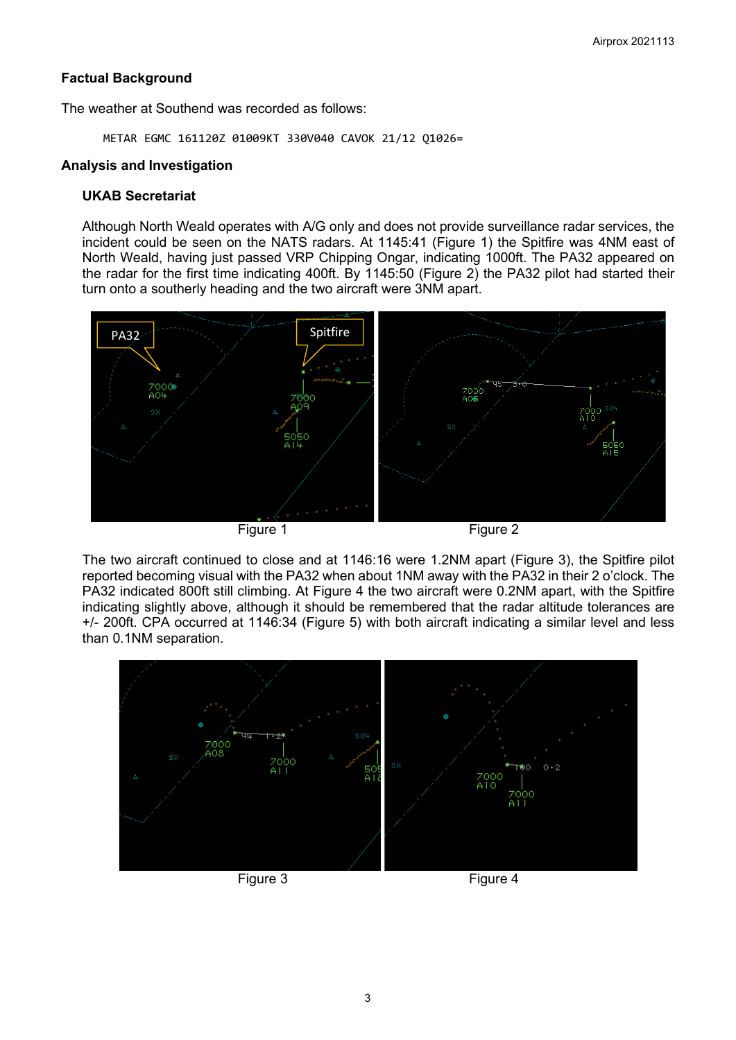## **Factual Background**

The weather at Southend was recorded as follows:

METAR EGMC 161120Z 01009KT 330V040 CAVOK 21/12 Q1026=

## **Analysis and Investigation**

## **UKAB Secretariat**

Although North Weald operates with A/G only and does not provide surveillance radar services, the incident could be seen on the NATS radars. At 1145:41 (Figure 1) the Spitfire was 4NM east of North Weald, having just passed VRP Chipping Ongar, indicating 1000ft. The PA32 appeared on the radar for the first time indicating 400ft. By 1145:50 (Figure 2) the PA32 pilot had started their turn onto a southerly heading and the two aircraft were 3NM apart.



The two aircraft continued to close and at 1146:16 were 1.2NM apart (Figure 3), the Spitfire pilot reported becoming visual with the PA32 when about 1NM away with the PA32 in their 2 o'clock. The PA32 indicated 800ft still climbing. At Figure 4 the two aircraft were 0.2NM apart, with the Spitfire indicating slightly above, although it should be remembered that the radar altitude tolerances are +/- 200ft. CPA occurred at 1146:34 (Figure 5) with both aircraft indicating a similar level and less than 0.1NM separation.

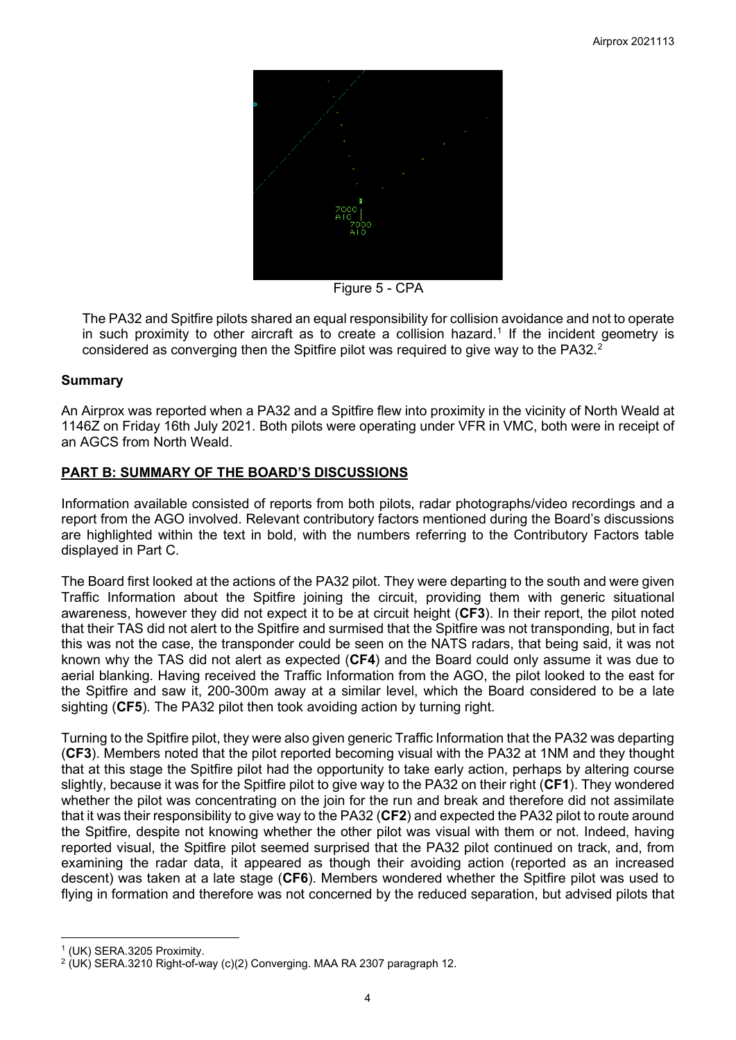

Figure 5 - CPA

The PA32 and Spitfire pilots shared an equal responsibility for collision avoidance and not to operate in such proximity to other aircraft as to create a collision hazard. [1](#page-3-0) If the incident geometry is considered as converging then the Spitfire pilot was required to give way to the PA3[2](#page-3-1). $^2$ 

## **Summary**

An Airprox was reported when a PA32 and a Spitfire flew into proximity in the vicinity of North Weald at 1146Z on Friday 16th July 2021. Both pilots were operating under VFR in VMC, both were in receipt of an AGCS from North Weald.

## **PART B: SUMMARY OF THE BOARD'S DISCUSSIONS**

Information available consisted of reports from both pilots, radar photographs/video recordings and a report from the AGO involved. Relevant contributory factors mentioned during the Board's discussions are highlighted within the text in bold, with the numbers referring to the Contributory Factors table displayed in Part C.

The Board first looked at the actions of the PA32 pilot. They were departing to the south and were given Traffic Information about the Spitfire joining the circuit, providing them with generic situational awareness, however they did not expect it to be at circuit height (**CF3**). In their report, the pilot noted that their TAS did not alert to the Spitfire and surmised that the Spitfire was not transponding, but in fact this was not the case, the transponder could be seen on the NATS radars, that being said, it was not known why the TAS did not alert as expected (**CF4**) and the Board could only assume it was due to aerial blanking. Having received the Traffic Information from the AGO, the pilot looked to the east for the Spitfire and saw it, 200-300m away at a similar level, which the Board considered to be a late sighting (**CF5**). The PA32 pilot then took avoiding action by turning right.

Turning to the Spitfire pilot, they were also given generic Traffic Information that the PA32 was departing (**CF3**). Members noted that the pilot reported becoming visual with the PA32 at 1NM and they thought that at this stage the Spitfire pilot had the opportunity to take early action, perhaps by altering course slightly, because it was for the Spitfire pilot to give way to the PA32 on their right (**CF1**). They wondered whether the pilot was concentrating on the join for the run and break and therefore did not assimilate that it was their responsibility to give way to the PA32 (**CF2**) and expected the PA32 pilot to route around the Spitfire, despite not knowing whether the other pilot was visual with them or not. Indeed, having reported visual, the Spitfire pilot seemed surprised that the PA32 pilot continued on track, and, from examining the radar data, it appeared as though their avoiding action (reported as an increased descent) was taken at a late stage (**CF6**). Members wondered whether the Spitfire pilot was used to flying in formation and therefore was not concerned by the reduced separation, but advised pilots that

<span id="page-3-0"></span><sup>1</sup> (UK) SERA.3205 Proximity.

<span id="page-3-1"></span> $2$  (UK) SERA.3210 Right-of-way (c)(2) Converging. MAA RA 2307 paragraph 12.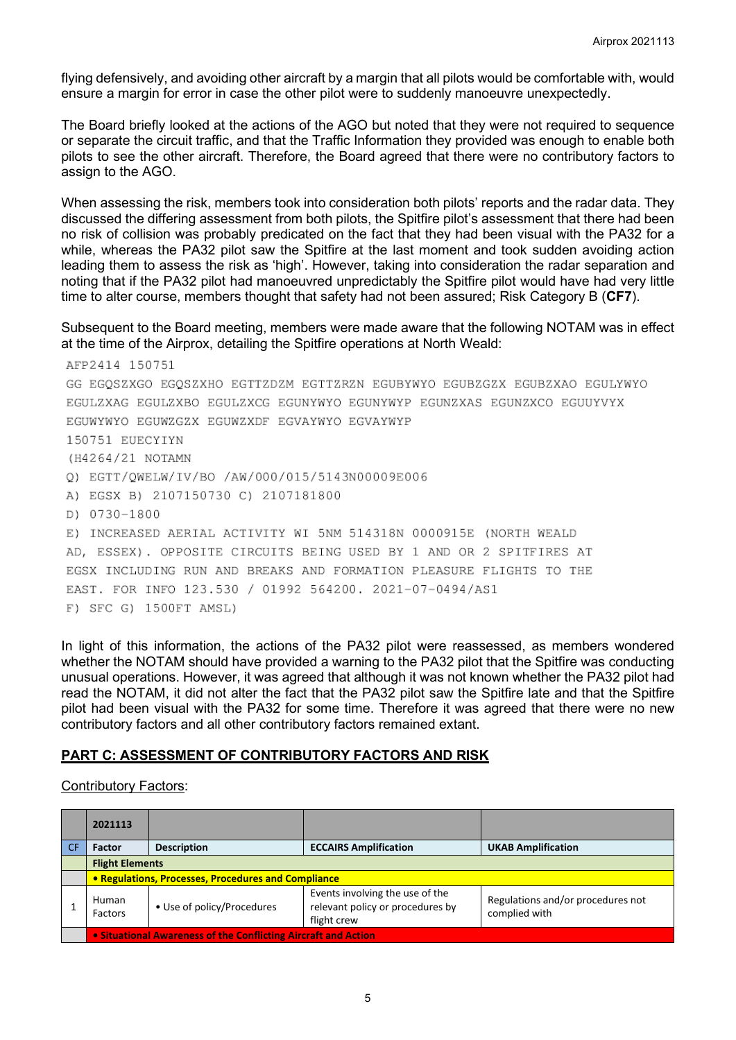flying defensively, and avoiding other aircraft by a margin that all pilots would be comfortable with, would ensure a margin for error in case the other pilot were to suddenly manoeuvre unexpectedly.

The Board briefly looked at the actions of the AGO but noted that they were not required to sequence or separate the circuit traffic, and that the Traffic Information they provided was enough to enable both pilots to see the other aircraft. Therefore, the Board agreed that there were no contributory factors to assign to the AGO.

When assessing the risk, members took into consideration both pilots' reports and the radar data. They discussed the differing assessment from both pilots, the Spitfire pilot's assessment that there had been no risk of collision was probably predicated on the fact that they had been visual with the PA32 for a while, whereas the PA32 pilot saw the Spitfire at the last moment and took sudden avoiding action leading them to assess the risk as 'high'. However, taking into consideration the radar separation and noting that if the PA32 pilot had manoeuvred unpredictably the Spitfire pilot would have had very little time to alter course, members thought that safety had not been assured; Risk Category B (**CF7**).

#### Subsequent to the Board meeting, members were made aware that the following NOTAM was in effect at the time of the Airprox, detailing the Spitfire operations at North Weald:

AFP2414 150751 GG EGOSZXGO EGOSZXHO EGTTZDZM EGTTZRZN EGUBYWYO EGUBZGZX EGUBZXAO EGULYWYO EGULZXAG EGULZXBO EGULZXCG EGUNYWYO EGUNYWYP EGUNZXAS EGUNZXCO EGUUYVYX EGUWYWYO EGUWZGZX EGUWZXDF EGVAYWYO EGVAYWYP 150751 EUECYIYN (H4264/21 NOTAMN Q) EGTT/QWELW/IV/BO /AW/000/015/5143N00009E006 A) EGSX B) 2107150730 C) 2107181800 D) 0730-1800 E) INCREASED AERIAL ACTIVITY WI 5NM 514318N 0000915E (NORTH WEALD AD, ESSEX). OPPOSITE CIRCUITS BEING USED BY 1 AND OR 2 SPITFIRES AT EGSX INCLUDING RUN AND BREAKS AND FORMATION PLEASURE FLIGHTS TO THE EAST, FOR INFO 123,530 / 01992 564200, 2021-07-0494/AS1 F) SFC G) 1500FT AMSL)

In light of this information, the actions of the PA32 pilot were reassessed, as members wondered whether the NOTAM should have provided a warning to the PA32 pilot that the Spitfire was conducting unusual operations. However, it was agreed that although it was not known whether the PA32 pilot had read the NOTAM, it did not alter the fact that the PA32 pilot saw the Spitfire late and that the Spitfire pilot had been visual with the PA32 for some time. Therefore it was agreed that there were no new contributory factors and all other contributory factors remained extant.

#### **PART C: ASSESSMENT OF CONTRIBUTORY FACTORS AND RISK**

#### Contributory Factors:

| 2021113                                                        |                            |                                                                                    |                                                    |  |  |  |
|----------------------------------------------------------------|----------------------------|------------------------------------------------------------------------------------|----------------------------------------------------|--|--|--|
| <b>Factor</b>                                                  | <b>Description</b>         | <b>ECCAIRS Amplification</b>                                                       | <b>UKAB Amplification</b>                          |  |  |  |
| <b>Flight Elements</b>                                         |                            |                                                                                    |                                                    |  |  |  |
| • Regulations, Processes, Procedures and Compliance            |                            |                                                                                    |                                                    |  |  |  |
| Human<br>Factors                                               | • Use of policy/Procedures | Events involving the use of the<br>relevant policy or procedures by<br>flight crew | Regulations and/or procedures not<br>complied with |  |  |  |
| • Situational Awareness of the Conflicting Aircraft and Action |                            |                                                                                    |                                                    |  |  |  |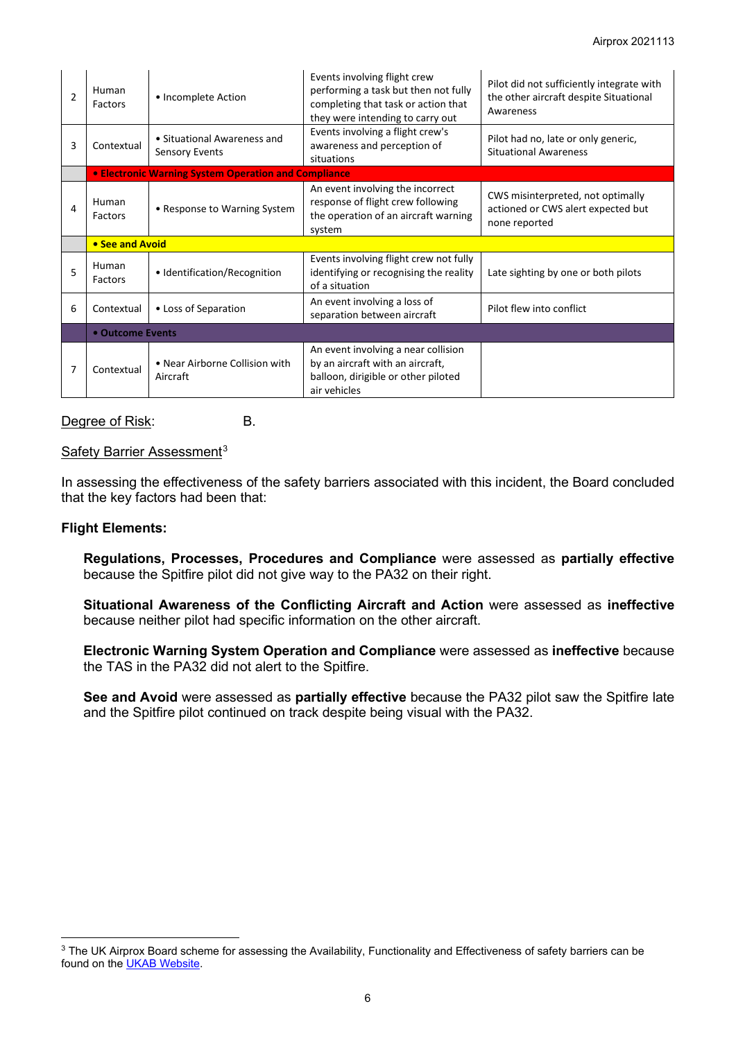| $\overline{2}$ | Human<br>Factors                                            | • Incomplete Action                                  | Events involving flight crew<br>performing a task but then not fully<br>completing that task or action that<br>they were intending to carry out | Pilot did not sufficiently integrate with<br>the other aircraft despite Situational<br>Awareness |  |  |
|----------------|-------------------------------------------------------------|------------------------------------------------------|-------------------------------------------------------------------------------------------------------------------------------------------------|--------------------------------------------------------------------------------------------------|--|--|
| 3              | Contextual                                                  | • Situational Awareness and<br><b>Sensory Events</b> | Events involving a flight crew's<br>awareness and perception of<br>situations                                                                   | Pilot had no, late or only generic,<br><b>Situational Awareness</b>                              |  |  |
|                | <b>• Electronic Warning System Operation and Compliance</b> |                                                      |                                                                                                                                                 |                                                                                                  |  |  |
| 4              | Human<br>Factors                                            | • Response to Warning System                         | An event involving the incorrect<br>response of flight crew following<br>the operation of an aircraft warning<br>system                         | CWS misinterpreted, not optimally<br>actioned or CWS alert expected but<br>none reported         |  |  |
|                | • See and Avoid                                             |                                                      |                                                                                                                                                 |                                                                                                  |  |  |
| 5              | Human<br>Factors                                            | • Identification/Recognition                         | Events involving flight crew not fully<br>identifying or recognising the reality<br>of a situation                                              | Late sighting by one or both pilots                                                              |  |  |
| 6              | Contextual                                                  | • Loss of Separation                                 | An event involving a loss of<br>separation between aircraft                                                                                     | Pilot flew into conflict                                                                         |  |  |
|                | • Outcome Events                                            |                                                      |                                                                                                                                                 |                                                                                                  |  |  |
| 7              | Contextual                                                  | • Near Airborne Collision with<br>Aircraft           | An event involving a near collision<br>by an aircraft with an aircraft,<br>balloon, dirigible or other piloted<br>air vehicles                  |                                                                                                  |  |  |

Degree of Risk: B.

Safety Barrier Assessment<sup>[3](#page-5-0)</sup>

In assessing the effectiveness of the safety barriers associated with this incident, the Board concluded that the key factors had been that:

#### **Flight Elements:**

**Regulations, Processes, Procedures and Compliance** were assessed as **partially effective** because the Spitfire pilot did not give way to the PA32 on their right.

**Situational Awareness of the Conflicting Aircraft and Action** were assessed as **ineffective** because neither pilot had specific information on the other aircraft.

**Electronic Warning System Operation and Compliance** were assessed as **ineffective** because the TAS in the PA32 did not alert to the Spitfire.

**See and Avoid** were assessed as **partially effective** because the PA32 pilot saw the Spitfire late and the Spitfire pilot continued on track despite being visual with the PA32.

<span id="page-5-0"></span><sup>&</sup>lt;sup>3</sup> The UK Airprox Board scheme for assessing the Availability, Functionality and Effectiveness of safety barriers can be found on the [UKAB Website.](http://www.airproxboard.org.uk/Learn-more/Airprox-Barrier-Assessment/)